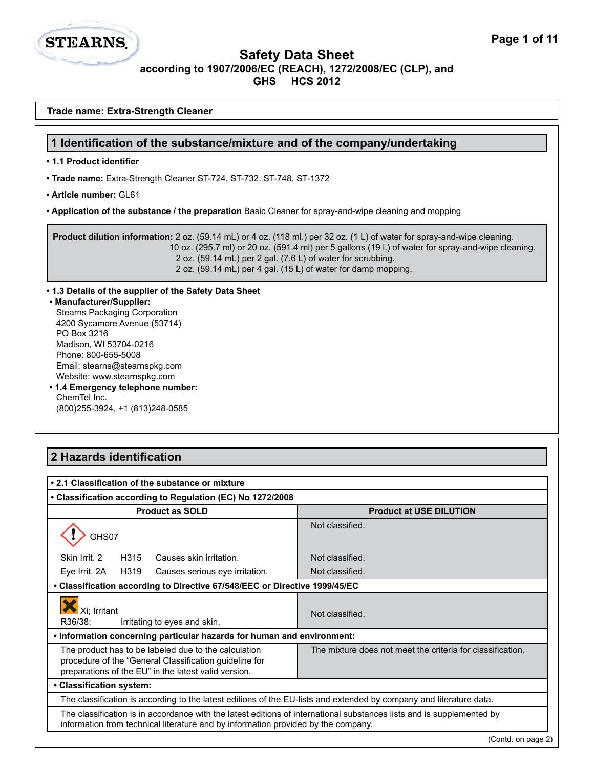

**Trade name: Extra-Strength Cleaner**

#### **Safety Data Sheet according to 1907/2006/EC (REACH), 1272/2008/EC (CLP), and GHS HCS 2012**

| 1 Identification of the substance/mixture and of the company/undertaking                                                                                                                                                                                                                                                                                                             |                                                            |  |  |
|--------------------------------------------------------------------------------------------------------------------------------------------------------------------------------------------------------------------------------------------------------------------------------------------------------------------------------------------------------------------------------------|------------------------------------------------------------|--|--|
| • 1.1 Product identifier                                                                                                                                                                                                                                                                                                                                                             |                                                            |  |  |
| • Trade name: Extra-Strength Cleaner ST-724, ST-732, ST-748, ST-1372                                                                                                                                                                                                                                                                                                                 |                                                            |  |  |
| • Article number: GL61                                                                                                                                                                                                                                                                                                                                                               |                                                            |  |  |
| • Application of the substance / the preparation Basic Cleaner for spray-and-wipe cleaning and mopping                                                                                                                                                                                                                                                                               |                                                            |  |  |
| Product dilution information: 2 oz. (59.14 mL) or 4 oz. (118 ml.) per 32 oz. (1 L) of water for spray-and-wipe cleaning.<br>10 oz. (295.7 ml) or 20 oz. (591.4 ml) per 5 gallons (19 l.) of water for spray-and-wipe cleaning.<br>2 oz. (59.14 mL) per 2 gal. (7.6 L) of water for scrubbing.<br>2 oz. (59.14 mL) per 4 gal. (15 L) of water for damp mopping.                       |                                                            |  |  |
| • 1.3 Details of the supplier of the Safety Data Sheet<br>• Manufacturer/Supplier:<br><b>Stearns Packaging Corporation</b><br>4200 Sycamore Avenue (53714)<br>PO Box 3216<br>Madison, WI 53704-0216<br>Phone: 800-655-5008<br>Email: stearns@stearnspkg.com<br>Website: www.stearnspkg.com<br>• 1.4 Emergency telephone number:<br>ChemTel Inc.<br>(800) 255-3924, +1 (813) 248-0585 |                                                            |  |  |
| 2 Hazards identification                                                                                                                                                                                                                                                                                                                                                             |                                                            |  |  |
|                                                                                                                                                                                                                                                                                                                                                                                      |                                                            |  |  |
| • 2.1 Classification of the substance or mixture                                                                                                                                                                                                                                                                                                                                     |                                                            |  |  |
| • Classification according to Regulation (EC) No 1272/2008                                                                                                                                                                                                                                                                                                                           |                                                            |  |  |
| <b>Product as SOLD</b>                                                                                                                                                                                                                                                                                                                                                               | <b>Product at USE DILUTION</b>                             |  |  |
| GHS07                                                                                                                                                                                                                                                                                                                                                                                | Not classified.                                            |  |  |
| H315 Causes skin irritation.<br>Skin Irrit. 2                                                                                                                                                                                                                                                                                                                                        | Not classified                                             |  |  |
| H319<br>Eye Irrit. 2A<br>Causes serious eye irritation.                                                                                                                                                                                                                                                                                                                              | Not classified.                                            |  |  |
| • Classification according to Directive 67/548/EEC or Directive 1999/45/EC                                                                                                                                                                                                                                                                                                           |                                                            |  |  |
| Xi; Irritant<br>R36/38:<br>Irritating to eyes and skin.                                                                                                                                                                                                                                                                                                                              | Not classified.                                            |  |  |
| . Information concerning particular hazards for human and environment:                                                                                                                                                                                                                                                                                                               |                                                            |  |  |
| The product has to be labeled due to the calculation<br>procedure of the "General Classification guideline for<br>preparations of the EU" in the latest valid version.                                                                                                                                                                                                               | The mixture does not meet the criteria for classification. |  |  |
| • Classification system:                                                                                                                                                                                                                                                                                                                                                             |                                                            |  |  |

information from technical literature and by information provided by the company.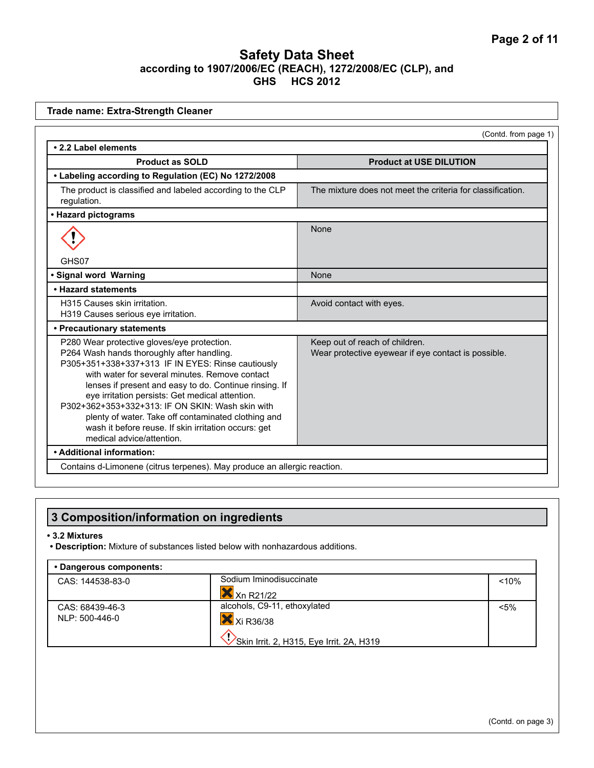| • 2.2 Label elements<br><b>Product as SOLD</b><br><b>Product at USE DILUTION</b><br>• Labeling according to Regulation (EC) No 1272/2008<br>The mixture does not meet the criteria for classification.<br>The product is classified and labeled according to the CLP<br>regulation.<br>• Hazard pictograms<br>None<br>GHS07<br>· Signal word Warning<br>None<br>. Hazard statements<br>H315 Causes skin irritation.<br>Avoid contact with eyes.<br>H319 Causes serious eye irritation.<br>• Precautionary statements<br>P280 Wear protective gloves/eye protection.<br>Keep out of reach of children.<br>P264 Wash hands thoroughly after handling.<br>Wear protective eyewear if eye contact is possible.<br>P305+351+338+337+313 IF IN EYES: Rinse cautiously<br>with water for several minutes. Remove contact<br>lenses if present and easy to do. Continue rinsing. If<br>eye irritation persists: Get medical attention. |                      |
|--------------------------------------------------------------------------------------------------------------------------------------------------------------------------------------------------------------------------------------------------------------------------------------------------------------------------------------------------------------------------------------------------------------------------------------------------------------------------------------------------------------------------------------------------------------------------------------------------------------------------------------------------------------------------------------------------------------------------------------------------------------------------------------------------------------------------------------------------------------------------------------------------------------------------------|----------------------|
|                                                                                                                                                                                                                                                                                                                                                                                                                                                                                                                                                                                                                                                                                                                                                                                                                                                                                                                                | (Contd. from page 1) |
|                                                                                                                                                                                                                                                                                                                                                                                                                                                                                                                                                                                                                                                                                                                                                                                                                                                                                                                                |                      |
|                                                                                                                                                                                                                                                                                                                                                                                                                                                                                                                                                                                                                                                                                                                                                                                                                                                                                                                                |                      |
|                                                                                                                                                                                                                                                                                                                                                                                                                                                                                                                                                                                                                                                                                                                                                                                                                                                                                                                                |                      |
|                                                                                                                                                                                                                                                                                                                                                                                                                                                                                                                                                                                                                                                                                                                                                                                                                                                                                                                                |                      |
|                                                                                                                                                                                                                                                                                                                                                                                                                                                                                                                                                                                                                                                                                                                                                                                                                                                                                                                                |                      |
|                                                                                                                                                                                                                                                                                                                                                                                                                                                                                                                                                                                                                                                                                                                                                                                                                                                                                                                                |                      |
|                                                                                                                                                                                                                                                                                                                                                                                                                                                                                                                                                                                                                                                                                                                                                                                                                                                                                                                                |                      |
|                                                                                                                                                                                                                                                                                                                                                                                                                                                                                                                                                                                                                                                                                                                                                                                                                                                                                                                                |                      |
|                                                                                                                                                                                                                                                                                                                                                                                                                                                                                                                                                                                                                                                                                                                                                                                                                                                                                                                                |                      |
|                                                                                                                                                                                                                                                                                                                                                                                                                                                                                                                                                                                                                                                                                                                                                                                                                                                                                                                                |                      |
| P302+362+353+332+313; IF ON SKIN: Wash skin with<br>plenty of water. Take off contaminated clothing and<br>wash it before reuse. If skin irritation occurs: get<br>medical advice/attention.                                                                                                                                                                                                                                                                                                                                                                                                                                                                                                                                                                                                                                                                                                                                   |                      |
| • Additional information:                                                                                                                                                                                                                                                                                                                                                                                                                                                                                                                                                                                                                                                                                                                                                                                                                                                                                                      |                      |
| Contains d-Limonene (citrus terpenes). May produce an allergic reaction.                                                                                                                                                                                                                                                                                                                                                                                                                                                                                                                                                                                                                                                                                                                                                                                                                                                       |                      |

# **3 Composition/information on ingredients**

#### **• 3.2 Mixtures**

**• Description:** Mixture of substances listed below with nonhazardous additions.

| • Dangerous components: |                                          |         |
|-------------------------|------------------------------------------|---------|
| CAS: 144538-83-0        | Sodium Iminodisuccinate                  | < 10%   |
|                         | Xn R21/22                                |         |
| CAS: 68439-46-3         | alcohols, C9-11, ethoxylated             | $< 5\%$ |
| NLP: 500-446-0          | $X$ Xi R36/38                            |         |
|                         | Skin Irrit. 2, H315, Eye Irrit. 2A, H319 |         |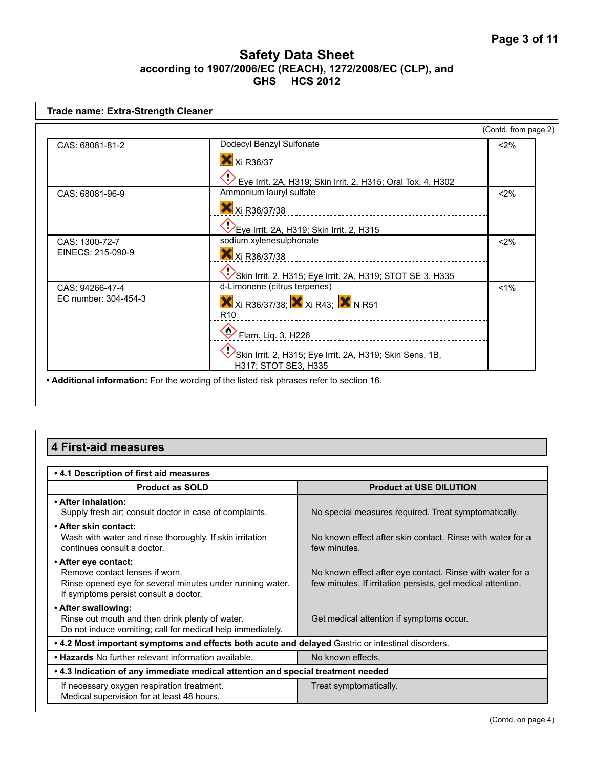| <b>Trade name: Extra-Strength Cleaner</b> |                                                                                                                                                                                                          |                      |
|-------------------------------------------|----------------------------------------------------------------------------------------------------------------------------------------------------------------------------------------------------------|----------------------|
|                                           |                                                                                                                                                                                                          | (Contd. from page 2) |
| CAS: 68081-81-2                           | Dodecyl Benzyl Sulfonate<br>X Xi R36/37<br>Eye Irrit. 2A, H319; Skin Irrit. 2, H315; Oral Tox. 4, H302                                                                                                   | $2\%$                |
| CAS: 68081-96-9                           | Ammonium lauryl sulfate<br>X Xi R36/37/38<br>Eye Irrit. 2A, H319; Skin Irrit. 2, H315                                                                                                                    | $2\%$                |
| CAS: 1300-72-7<br>EINECS: 215-090-9       | sodium xylenesulphonate<br>X Xi R36/37/38<br>Skin Irrit. 2, H315; Eye Irrit. 2A, H319; STOT SE 3, H335                                                                                                   | < 2%                 |
| CAS: 94266-47-4<br>EC number: 304-454-3   | d-Limonene (citrus terpenes)<br>X Xi R36/37/38; X Xi R43; X N R51<br>R <sub>10</sub><br>$\bullet$ Flam. Lig. 3, H226<br>Skin Irrit. 2, H315; Eye Irrit. 2A, H319; Skin Sens. 1B,<br>H317; STOT SE3, H335 | $< 1\%$              |
|                                           | . Additional information: For the wording of the listed risk phrases refer to section 16.                                                                                                                |                      |

# **4 First-aid measures**

| . 4.1 Description of first aid measures                                                                                                                      |                                                                                                                          |  |
|--------------------------------------------------------------------------------------------------------------------------------------------------------------|--------------------------------------------------------------------------------------------------------------------------|--|
| <b>Product as SOLD</b>                                                                                                                                       | <b>Product at USE DILUTION</b>                                                                                           |  |
| • After inhalation:<br>Supply fresh air; consult doctor in case of complaints.                                                                               | No special measures required. Treat symptomatically.                                                                     |  |
| • After skin contact:<br>Wash with water and rinse thoroughly. If skin irritation<br>continues consult a doctor.                                             | No known effect after skin contact. Rinse with water for a<br>few minutes.                                               |  |
| • After eye contact:<br>Remove contact lenses if worn.<br>Rinse opened eye for several minutes under running water.<br>If symptoms persist consult a doctor. | No known effect after eye contact. Rinse with water for a<br>few minutes. If irritation persists, get medical attention. |  |
| • After swallowing:<br>Rinse out mouth and then drink plenty of water.<br>Do not induce vomiting; call for medical help immediately.                         | Get medical attention if symptoms occur.                                                                                 |  |
| • 4.2 Most important symptoms and effects both acute and delayed Gastric or intestinal disorders.                                                            |                                                                                                                          |  |
| • Hazards No further relevant information available.                                                                                                         | No known effects.                                                                                                        |  |
| . 4.3 Indication of any immediate medical attention and special treatment needed                                                                             |                                                                                                                          |  |
| If necessary oxygen respiration treatment.<br>Medical supervision for at least 48 hours.                                                                     | Treat symptomatically.                                                                                                   |  |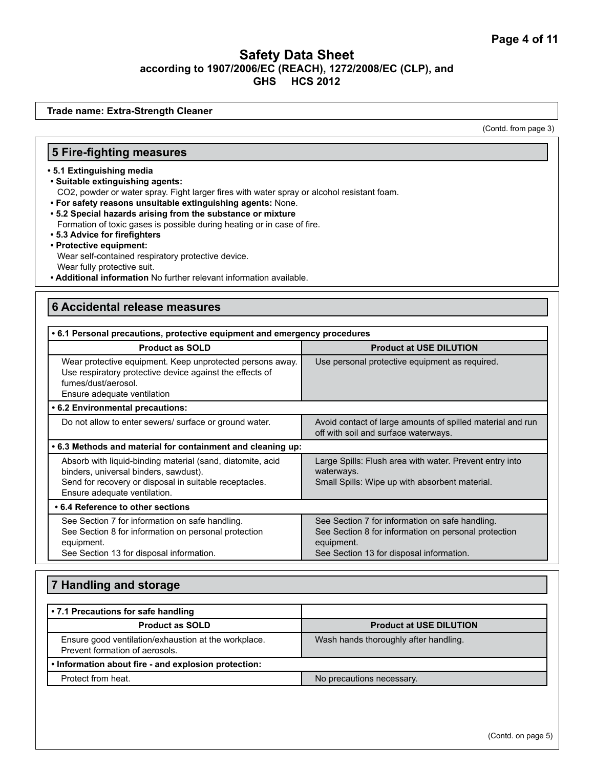**Trade name: Extra-Strength Cleaner**

(Contd. from page 3)

#### **5 Fire-fighting measures**

- **5.1 Extinguishing media**
- **Suitable extinguishing agents:**
	- CO2, powder or water spray. Fight larger fires with water spray or alcohol resistant foam.
- **For safety reasons unsuitable extinguishing agents:** None.
- **5.2 Special hazards arising from the substance or mixture**
- Formation of toxic gases is possible during heating or in case of fire.
- **5.3 Advice for firefighters**
- **Protective equipment:** Wear self-contained respiratory protective device.

Wear fully protective suit.

**• Additional information** No further relevant information available.

### **6 Accidental release measures**

| • 6.1 Personal precautions, protective equipment and emergency procedures                                                                                                                     |                                                                                                                                                                   |  |
|-----------------------------------------------------------------------------------------------------------------------------------------------------------------------------------------------|-------------------------------------------------------------------------------------------------------------------------------------------------------------------|--|
| <b>Product as SOLD</b>                                                                                                                                                                        | <b>Product at USE DILUTION</b>                                                                                                                                    |  |
| Wear protective equipment. Keep unprotected persons away.<br>Use respiratory protective device against the effects of<br>fumes/dust/aerosol.<br>Ensure adequate ventilation                   | Use personal protective equipment as required.                                                                                                                    |  |
| • 6.2 Environmental precautions:                                                                                                                                                              |                                                                                                                                                                   |  |
| Do not allow to enter sewers/ surface or ground water.                                                                                                                                        | Avoid contact of large amounts of spilled material and run<br>off with soil and surface waterways.                                                                |  |
| .6.3 Methods and material for containment and cleaning up:                                                                                                                                    |                                                                                                                                                                   |  |
| Absorb with liquid-binding material (sand, diatomite, acid<br>binders, universal binders, sawdust).<br>Send for recovery or disposal in suitable receptacles.<br>Ensure adequate ventilation. | Large Spills: Flush area with water. Prevent entry into<br>waterways.<br>Small Spills: Wipe up with absorbent material.                                           |  |
| • 6.4 Reference to other sections                                                                                                                                                             |                                                                                                                                                                   |  |
| See Section 7 for information on safe handling.<br>See Section 8 for information on personal protection<br>equipment.<br>See Section 13 for disposal information.                             | See Section 7 for information on safe handling.<br>See Section 8 for information on personal protection<br>equipment.<br>See Section 13 for disposal information. |  |

| 7 Handling and storage                                                                 |                                       |  |
|----------------------------------------------------------------------------------------|---------------------------------------|--|
| • 7.1 Precautions for safe handling                                                    |                                       |  |
| <b>Product as SOLD</b>                                                                 | <b>Product at USE DILUTION</b>        |  |
| Ensure good ventilation/exhaustion at the workplace.<br>Prevent formation of aerosols. | Wash hands thoroughly after handling. |  |
| . Information about fire - and explosion protection:                                   |                                       |  |
| Protect from heat.                                                                     | No precautions necessary.             |  |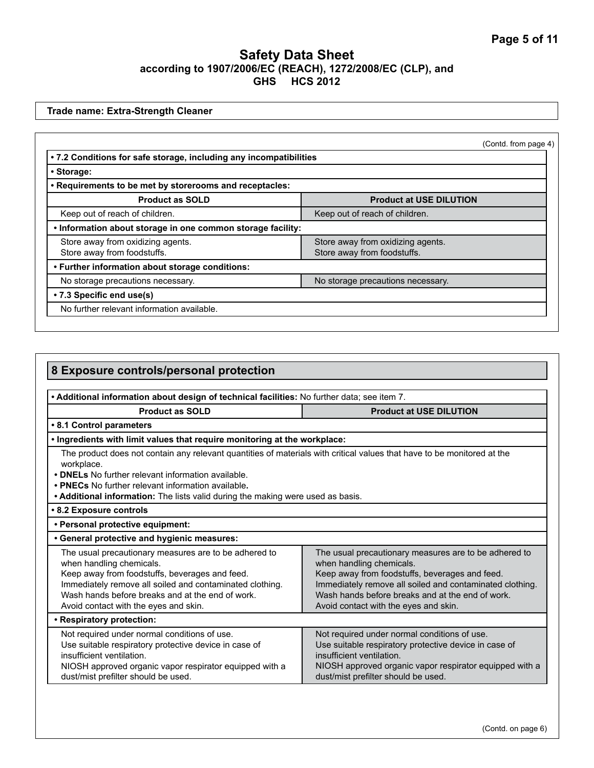**Trade name: Extra-Strength Cleaner**

| • Storage:                                                       |                                                                  |
|------------------------------------------------------------------|------------------------------------------------------------------|
| . Requirements to be met by storerooms and receptacles:          |                                                                  |
| <b>Product as SOLD</b>                                           | <b>Product at USE DILUTION</b>                                   |
| Keep out of reach of children.                                   | Keep out of reach of children.                                   |
| . Information about storage in one common storage facility:      |                                                                  |
| Store away from oxidizing agents.<br>Store away from foodstuffs. | Store away from oxidizing agents.<br>Store away from foodstuffs. |
| • Further information about storage conditions:                  |                                                                  |
| No storage precautions necessary.                                | No storage precautions necessary.                                |
| • 7.3 Specific end use(s)                                        |                                                                  |
| No further relevant information available.                       |                                                                  |

| 8 Exposure controls/personal protection                                                                                                                                                                                                                                                                                                                                                                                                                                                                                                                                                      |                                                                                                                                                                                                                                      |  |
|----------------------------------------------------------------------------------------------------------------------------------------------------------------------------------------------------------------------------------------------------------------------------------------------------------------------------------------------------------------------------------------------------------------------------------------------------------------------------------------------------------------------------------------------------------------------------------------------|--------------------------------------------------------------------------------------------------------------------------------------------------------------------------------------------------------------------------------------|--|
|                                                                                                                                                                                                                                                                                                                                                                                                                                                                                                                                                                                              |                                                                                                                                                                                                                                      |  |
| . Additional information about design of technical facilities: No further data; see item 7.                                                                                                                                                                                                                                                                                                                                                                                                                                                                                                  |                                                                                                                                                                                                                                      |  |
| <b>Product as SOLD</b><br><b>Product at USE DILUTION</b>                                                                                                                                                                                                                                                                                                                                                                                                                                                                                                                                     |                                                                                                                                                                                                                                      |  |
| • 8.1 Control parameters                                                                                                                                                                                                                                                                                                                                                                                                                                                                                                                                                                     |                                                                                                                                                                                                                                      |  |
| . Ingredients with limit values that require monitoring at the workplace:                                                                                                                                                                                                                                                                                                                                                                                                                                                                                                                    |                                                                                                                                                                                                                                      |  |
| The product does not contain any relevant quantities of materials with critical values that have to be monitored at the<br>workplace.<br>• DNELs No further relevant information available.<br>• PNECs No further relevant information available.<br>• Additional information: The lists valid during the making were used as basis.                                                                                                                                                                                                                                                         |                                                                                                                                                                                                                                      |  |
| • 8.2 Exposure controls                                                                                                                                                                                                                                                                                                                                                                                                                                                                                                                                                                      |                                                                                                                                                                                                                                      |  |
| · Personal protective equipment:                                                                                                                                                                                                                                                                                                                                                                                                                                                                                                                                                             |                                                                                                                                                                                                                                      |  |
| • General protective and hygienic measures:                                                                                                                                                                                                                                                                                                                                                                                                                                                                                                                                                  |                                                                                                                                                                                                                                      |  |
| The usual precautionary measures are to be adhered to<br>The usual precautionary measures are to be adhered to<br>when handling chemicals.<br>when handling chemicals.<br>Keep away from foodstuffs, beverages and feed.<br>Keep away from foodstuffs, beverages and feed.<br>Immediately remove all soiled and contaminated clothing.<br>Immediately remove all soiled and contaminated clothing.<br>Wash hands before breaks and at the end of work.<br>Wash hands before breaks and at the end of work.<br>Avoid contact with the eyes and skin.<br>Avoid contact with the eyes and skin. |                                                                                                                                                                                                                                      |  |
| • Respiratory protection:                                                                                                                                                                                                                                                                                                                                                                                                                                                                                                                                                                    |                                                                                                                                                                                                                                      |  |
| Not required under normal conditions of use.<br>Use suitable respiratory protective device in case of<br>insufficient ventilation.<br>NIOSH approved organic vapor respirator equipped with a<br>dust/mist prefilter should be used.                                                                                                                                                                                                                                                                                                                                                         | Not required under normal conditions of use.<br>Use suitable respiratory protective device in case of<br>insufficient ventilation.<br>NIOSH approved organic vapor respirator equipped with a<br>dust/mist prefilter should be used. |  |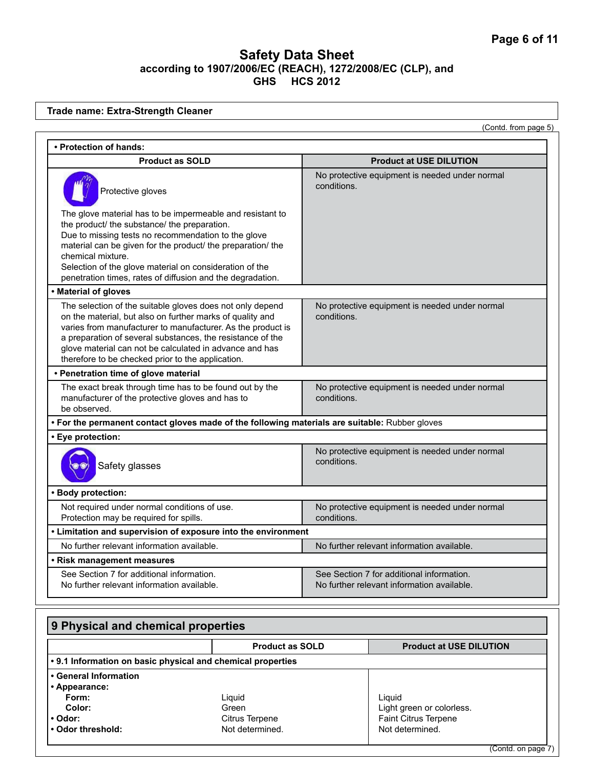**Trade name: Extra-Strength Cleaner**

(Contd. from page 5)

| • Protection of hands:                                                                                                                                                                                                                                                                                                                                                        |                                                                                         |  |
|-------------------------------------------------------------------------------------------------------------------------------------------------------------------------------------------------------------------------------------------------------------------------------------------------------------------------------------------------------------------------------|-----------------------------------------------------------------------------------------|--|
| <b>Product as SOLD</b>                                                                                                                                                                                                                                                                                                                                                        | <b>Product at USE DILUTION</b>                                                          |  |
| Protective gloves                                                                                                                                                                                                                                                                                                                                                             | No protective equipment is needed under normal<br>conditions.                           |  |
| The glove material has to be impermeable and resistant to<br>the product/ the substance/ the preparation.<br>Due to missing tests no recommendation to the glove<br>material can be given for the product/ the preparation/ the<br>chemical mixture.<br>Selection of the glove material on consideration of the<br>penetration times, rates of diffusion and the degradation. |                                                                                         |  |
| • Material of gloves                                                                                                                                                                                                                                                                                                                                                          |                                                                                         |  |
| The selection of the suitable gloves does not only depend<br>on the material, but also on further marks of quality and<br>varies from manufacturer to manufacturer. As the product is<br>a preparation of several substances, the resistance of the<br>glove material can not be calculated in advance and has<br>therefore to be checked prior to the application.           | No protective equipment is needed under normal<br>conditions.                           |  |
| • Penetration time of glove material                                                                                                                                                                                                                                                                                                                                          |                                                                                         |  |
| The exact break through time has to be found out by the<br>manufacturer of the protective gloves and has to<br>be observed.                                                                                                                                                                                                                                                   | No protective equipment is needed under normal<br>conditions.                           |  |
| . For the permanent contact gloves made of the following materials are suitable: Rubber gloves                                                                                                                                                                                                                                                                                |                                                                                         |  |
| · Eye protection:                                                                                                                                                                                                                                                                                                                                                             |                                                                                         |  |
| Safety glasses                                                                                                                                                                                                                                                                                                                                                                | No protective equipment is needed under normal<br>conditions.                           |  |
| • Body protection:                                                                                                                                                                                                                                                                                                                                                            |                                                                                         |  |
| Not required under normal conditions of use.<br>Protection may be required for spills.                                                                                                                                                                                                                                                                                        | No protective equipment is needed under normal<br>conditions.                           |  |
| • Limitation and supervision of exposure into the environment                                                                                                                                                                                                                                                                                                                 |                                                                                         |  |
| No further relevant information available.                                                                                                                                                                                                                                                                                                                                    | No further relevant information available.                                              |  |
| • Risk management measures                                                                                                                                                                                                                                                                                                                                                    |                                                                                         |  |
| See Section 7 for additional information.<br>No further relevant information available.                                                                                                                                                                                                                                                                                       | See Section 7 for additional information.<br>No further relevant information available. |  |

| 9 Physical and chemical properties |                                                             |                                |
|------------------------------------|-------------------------------------------------------------|--------------------------------|
|                                    | <b>Product as SOLD</b>                                      | <b>Product at USE DILUTION</b> |
|                                    | . 9.1 Information on basic physical and chemical properties |                                |
| • General Information              |                                                             |                                |
| • Appearance:                      |                                                             |                                |
| Form:                              | Liguid                                                      | Liauid                         |
| Color:                             | Green                                                       | Light green or colorless.      |
| • Odor:                            | Citrus Terpene                                              | <b>Faint Citrus Terpene</b>    |
| • Odor threshold:                  | Not determined.                                             | Not determined.                |
|                                    |                                                             |                                |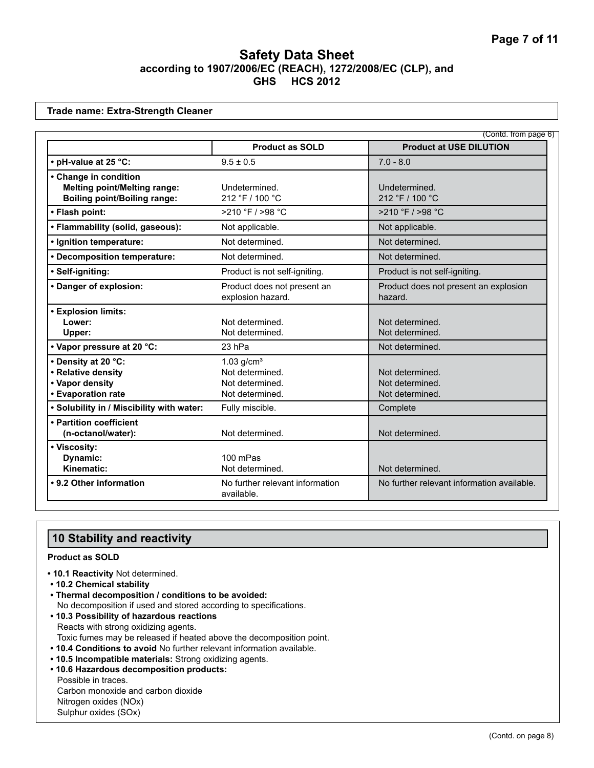**Trade name: Extra-Strength Cleaner**

|                                                                                                     |                                                                                   | (Contd. from page 6)                                  |
|-----------------------------------------------------------------------------------------------------|-----------------------------------------------------------------------------------|-------------------------------------------------------|
|                                                                                                     | <b>Product as SOLD</b>                                                            | <b>Product at USE DILUTION</b>                        |
| • pH-value at 25 °C:                                                                                | $9.5 \pm 0.5$                                                                     | $7.0 - 8.0$                                           |
| • Change in condition<br><b>Melting point/Melting range:</b><br><b>Boiling point/Boiling range:</b> | Undetermined.<br>212 °F / 100 °C                                                  | Undetermined.<br>212 °F / 100 °C                      |
| • Flash point:                                                                                      | >210 °F / >98 °C                                                                  | >210 °F / >98 °C                                      |
| • Flammability (solid, gaseous):                                                                    | Not applicable.                                                                   | Not applicable.                                       |
| · Ignition temperature:                                                                             | Not determined.                                                                   | Not determined.                                       |
| • Decomposition temperature:                                                                        | Not determined.                                                                   | Not determined.                                       |
| · Self-igniting:                                                                                    | Product is not self-igniting.                                                     | Product is not self-igniting.                         |
| • Danger of explosion:                                                                              | Product does not present an<br>explosion hazard.                                  | Product does not present an explosion<br>hazard.      |
| • Explosion limits:<br>Lower:<br>Upper:                                                             | Not determined.<br>Not determined.                                                | Not determined.<br>Not determined.                    |
| • Vapor pressure at 20 °C:                                                                          | 23 hPa                                                                            | Not determined.                                       |
| • Density at 20 °C:<br>• Relative density<br>• Vapor density<br>• Evaporation rate                  | $1.03$ g/cm <sup>3</sup><br>Not determined.<br>Not determined.<br>Not determined. | Not determined.<br>Not determined.<br>Not determined. |
| . Solubility in / Miscibility with water:                                                           | Fully miscible.                                                                   | Complete                                              |
| • Partition coefficient<br>(n-octanol/water):                                                       | Not determined.                                                                   | Not determined.                                       |
| • Viscosity:<br>Dynamic:<br>Kinematic:                                                              | 100 mPas<br>Not determined.                                                       | Not determined.                                       |
| • 9.2 Other information                                                                             | No further relevant information<br>available.                                     | No further relevant information available.            |

### **10 Stability and reactivity**

#### **Product as SOLD**

- **10.1 Reactivity** Not determined.
- **10.2 Chemical stability**
- **Thermal decomposition / conditions to be avoided:** No decomposition if used and stored according to specifications.
- **10.3 Possibility of hazardous reactions** Reacts with strong oxidizing agents. Toxic fumes may be released if heated above the decomposition point.
- **10.4 Conditions to avoid** No further relevant information available.
- **10.5 Incompatible materials:** Strong oxidizing agents.
- **10.6 Hazardous decomposition products:** Possible in traces. Carbon monoxide and carbon dioxide Nitrogen oxides (NOx) Sulphur oxides (SOx)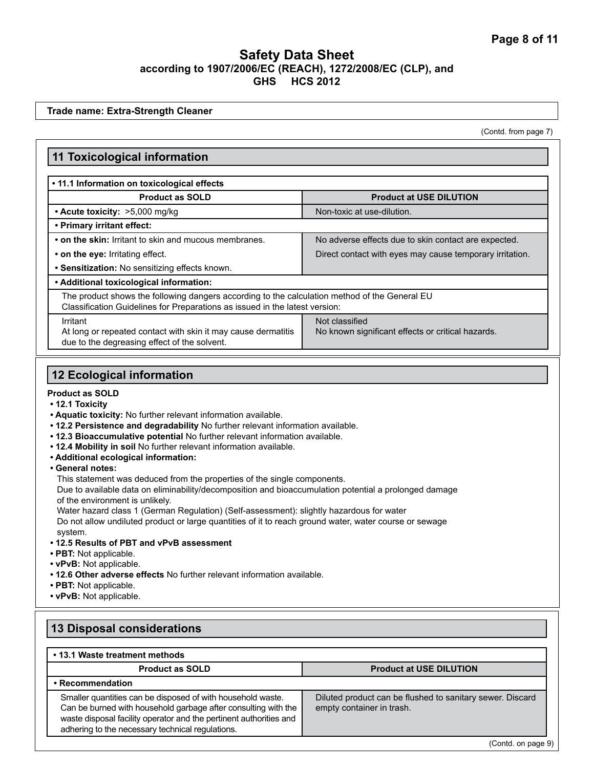**Trade name: Extra-Strength Cleaner**

(Contd. from page 7)

#### **11 Toxicological information • 11.1 Information on toxicological effects Product as SOLD Product at USE DILUTION** • Acute toxicity: >5,000 mg/kg Non-toxic at use-dilution. **• Primary irritant effect:** • on the skin: Irritant to skin and mucous membranes. <br>No adverse effects due to skin contact are expected. • on the eye: Irritating effect. **Direct contact with eyes may cause temporary irritation. • Sensitization:** No sensitizing effects known. **• Additional toxicological information:** The product shows the following dangers according to the calculation method of the General EU Classification Guidelines for Preparations as issued in the latest version: Irritant At long or repeated contact with skin it may cause dermatitis Not classified No known significant effects or critical hazards.

due to the degreasing effect of the solvent.

# **12 Ecological information**

#### **Product as SOLD**

- **12.1 Toxicity**
- **Aquatic toxicity:** No further relevant information available.
- **12.2 Persistence and degradability** No further relevant information available.
- **12.3 Bioaccumulative potential** No further relevant information available.
- **12.4 Mobility in soil** No further relevant information available.
- **Additional ecological information:**
- **General notes:**

This statement was deduced from the properties of the single components.

Due to available data on eliminability/decomposition and bioaccumulation potential a prolonged damage of the environment is unlikely.

Water hazard class 1 (German Regulation) (Self-assessment): slightly hazardous for water Do not allow undiluted product or large quantities of it to reach ground water, water course or sewage system.

- **12.5 Results of PBT and vPvB assessment**
- **PBT:** Not applicable.
- **vPvB:** Not applicable.
- **12.6 Other adverse effects** No further relevant information available.
- **PBT:** Not applicable.
- **vPvB:** Not applicable.

### **13 Disposal considerations**

| • 13.1 Waste treatment methods                                                                                                                                                                                                                          |                                                                                        |
|---------------------------------------------------------------------------------------------------------------------------------------------------------------------------------------------------------------------------------------------------------|----------------------------------------------------------------------------------------|
| <b>Product as SOLD</b>                                                                                                                                                                                                                                  | <b>Product at USE DILUTION</b>                                                         |
| • Recommendation                                                                                                                                                                                                                                        |                                                                                        |
| Smaller quantities can be disposed of with household waste.<br>Can be burned with household garbage after consulting with the<br>waste disposal facility operator and the pertinent authorities and<br>adhering to the necessary technical regulations. | Diluted product can be flushed to sanitary sewer. Discard<br>empty container in trash. |

(Contd. on page 9)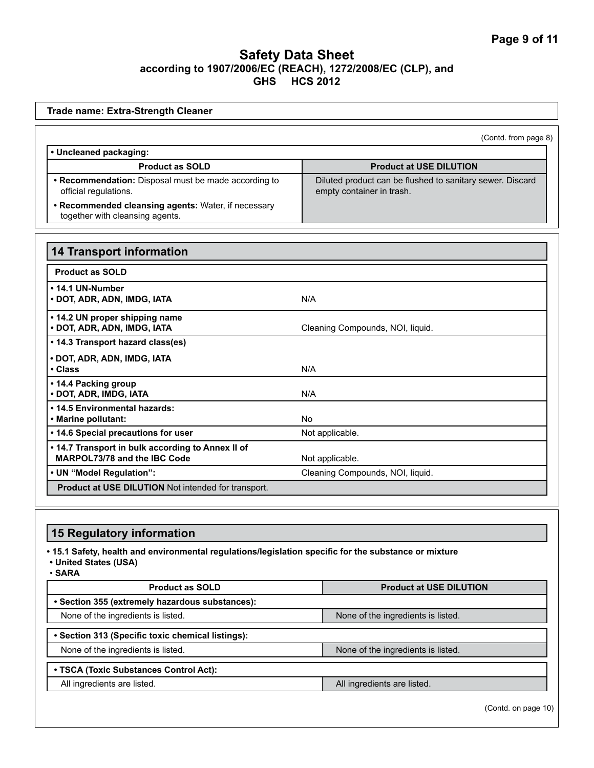| Trade name: Extra-Strength Cleaner                                                                                                       |                                                                                        |
|------------------------------------------------------------------------------------------------------------------------------------------|----------------------------------------------------------------------------------------|
|                                                                                                                                          | (Contd. from page 8)                                                                   |
| • Uncleaned packaging:                                                                                                                   |                                                                                        |
| <b>Product as SOLD</b>                                                                                                                   | <b>Product at USE DILUTION</b>                                                         |
| • Recommendation: Disposal must be made according to<br>official regulations.                                                            | Diluted product can be flushed to sanitary sewer. Discard<br>empty container in trash. |
| • Recommended cleansing agents: Water, if necessary<br>together with cleansing agents.                                                   |                                                                                        |
|                                                                                                                                          |                                                                                        |
| <b>14 Transport information</b>                                                                                                          |                                                                                        |
| <b>Product as SOLD</b>                                                                                                                   |                                                                                        |
| • 14.1 UN-Number<br>• DOT, ADR, ADN, IMDG, IATA                                                                                          | N/A                                                                                    |
| . 14.2 UN proper shipping name<br>· DOT, ADR, ADN, IMDG, IATA                                                                            | Cleaning Compounds, NOI, liquid.                                                       |
| • 14.3 Transport hazard class(es)                                                                                                        |                                                                                        |
| · DOT, ADR, ADN, IMDG, IATA<br>• Class                                                                                                   | N/A                                                                                    |
| • 14.4 Packing group<br>· DOT, ADR, IMDG, IATA                                                                                           | N/A                                                                                    |
| • 14.5 Environmental hazards:<br>· Marine pollutant:                                                                                     | No                                                                                     |
| • 14.6 Special precautions for user                                                                                                      | Not applicable.                                                                        |
| . 14.7 Transport in bulk according to Annex II of<br>MARPOL73/78 and the IBC Code                                                        | Not applicable.                                                                        |
| • UN "Model Regulation":                                                                                                                 | Cleaning Compounds, NOI, liquid.                                                       |
| Product at USE DILUTION Not intended for transport.                                                                                      |                                                                                        |
|                                                                                                                                          |                                                                                        |
| <b>15 Regulatory information</b>                                                                                                         |                                                                                        |
| . 15.1 Safety, health and environmental regulations/legislation specific for the substance or mixture<br>• United States (USA)<br>∙ SARA |                                                                                        |

| <b>Product as SOLD</b>                            | <b>Product at USE DILUTION</b>     |
|---------------------------------------------------|------------------------------------|
| • Section 355 (extremely hazardous substances):   |                                    |
| None of the ingredients is listed.                | None of the ingredients is listed. |
|                                                   |                                    |
| • Section 313 (Specific toxic chemical listings): |                                    |
| None of the ingredients is listed.                | None of the ingredients is listed. |
|                                                   |                                    |
| • TSCA (Toxic Substances Control Act):            |                                    |
| All ingredients are listed.                       | All ingredients are listed.        |
|                                                   |                                    |

(Contd. on page 10)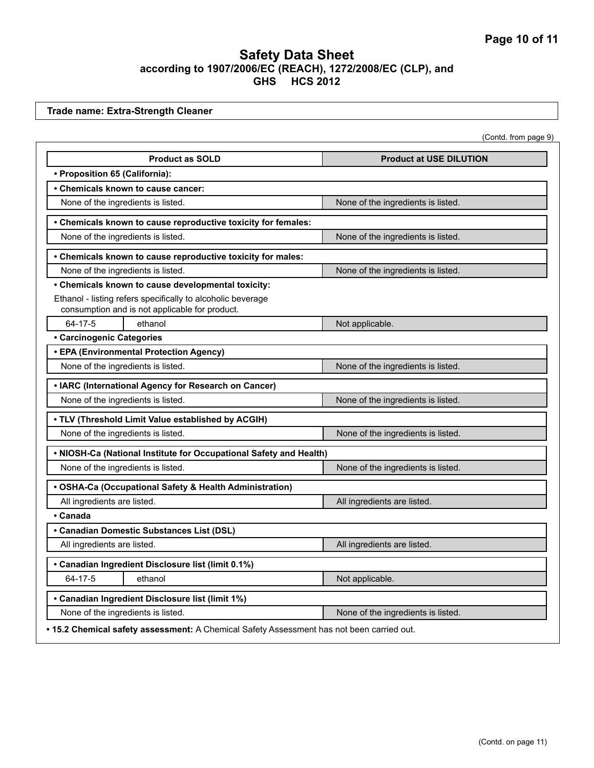**Trade name: Extra-Strength Cleaner**

| (Contd. from page 9) |  |
|----------------------|--|
|----------------------|--|

| <b>Product as SOLD</b>                                                                                        | <b>Product at USE DILUTION</b>     |  |
|---------------------------------------------------------------------------------------------------------------|------------------------------------|--|
| · Proposition 65 (California):                                                                                |                                    |  |
| • Chemicals known to cause cancer:                                                                            |                                    |  |
| None of the ingredients is listed.                                                                            | None of the ingredients is listed. |  |
| • Chemicals known to cause reproductive toxicity for females:                                                 |                                    |  |
| None of the ingredients is listed.                                                                            | None of the ingredients is listed. |  |
| • Chemicals known to cause reproductive toxicity for males:                                                   |                                    |  |
| None of the ingredients is listed.                                                                            | None of the ingredients is listed. |  |
| • Chemicals known to cause developmental toxicity:                                                            |                                    |  |
| Ethanol - listing refers specifically to alcoholic beverage<br>consumption and is not applicable for product. |                                    |  |
| 64-17-5<br>ethanol                                                                                            | Not applicable.                    |  |
| <b>• Carcinogenic Categories</b>                                                                              |                                    |  |
| • EPA (Environmental Protection Agency)                                                                       |                                    |  |
| None of the ingredients is listed.                                                                            | None of the ingredients is listed. |  |
| • IARC (International Agency for Research on Cancer)                                                          |                                    |  |
| None of the ingredients is listed.                                                                            | None of the ingredients is listed. |  |
| . TLV (Threshold Limit Value established by ACGIH)                                                            |                                    |  |
| None of the ingredients is listed.                                                                            | None of the ingredients is listed. |  |
| . NIOSH-Ca (National Institute for Occupational Safety and Health)                                            |                                    |  |
| None of the ingredients is listed.                                                                            | None of the ingredients is listed. |  |
| • OSHA-Ca (Occupational Safety & Health Administration)                                                       |                                    |  |
| All ingredients are listed.                                                                                   | All ingredients are listed.        |  |
| • Canada                                                                                                      |                                    |  |
| • Canadian Domestic Substances List (DSL)                                                                     |                                    |  |
| All ingredients are listed.                                                                                   | All ingredients are listed.        |  |
| • Canadian Ingredient Disclosure list (limit 0.1%)                                                            |                                    |  |
| 64-17-5<br>ethanol                                                                                            | Not applicable.                    |  |
| • Canadian Ingredient Disclosure list (limit 1%)                                                              |                                    |  |
| None of the ingredients is listed.                                                                            | None of the ingredients is listed. |  |
| . 15.2 Chemical safety assessment: A Chemical Safety Assessment has not been carried out.                     |                                    |  |